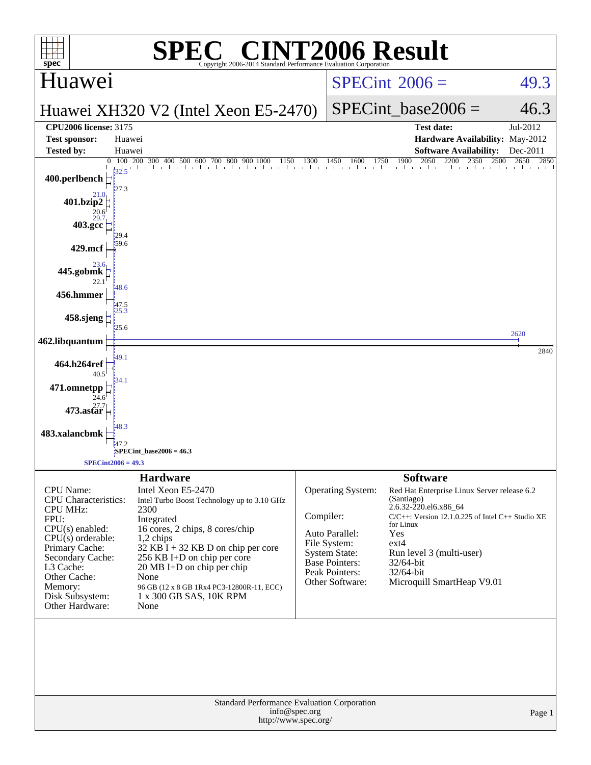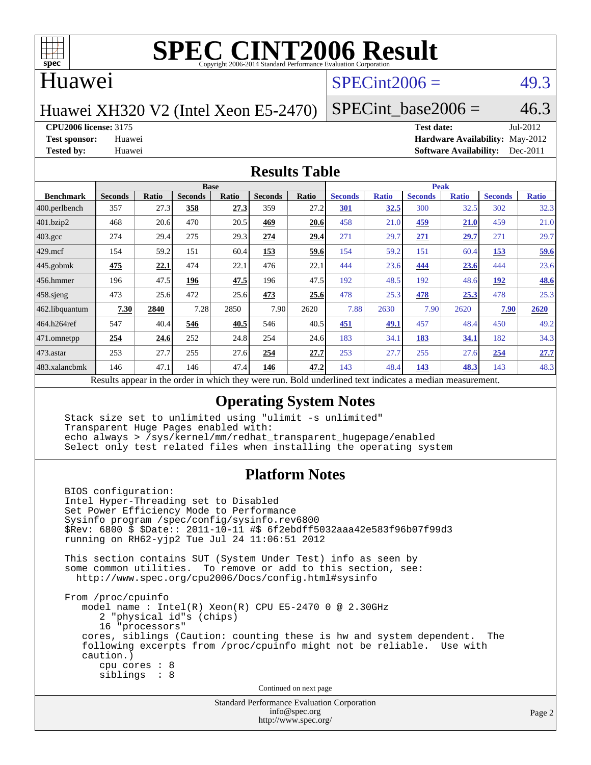

#### Huawei

### $SPECint2006 = 49.3$  $SPECint2006 = 49.3$

Huawei XH320 V2 (Intel Xeon E5-2470)

SPECint base2006 =  $46.3$ 

**[CPU2006 license:](http://www.spec.org/auto/cpu2006/Docs/result-fields.html#CPU2006license)** 3175 **[Test date:](http://www.spec.org/auto/cpu2006/Docs/result-fields.html#Testdate)** Jul-2012

**[Test sponsor:](http://www.spec.org/auto/cpu2006/Docs/result-fields.html#Testsponsor)** Huawei **[Hardware Availability:](http://www.spec.org/auto/cpu2006/Docs/result-fields.html#HardwareAvailability)** May-2012 **[Tested by:](http://www.spec.org/auto/cpu2006/Docs/result-fields.html#Testedby)** Huawei **[Software Availability:](http://www.spec.org/auto/cpu2006/Docs/result-fields.html#SoftwareAvailability)** Dec-2011

#### **[Results Table](http://www.spec.org/auto/cpu2006/Docs/result-fields.html#ResultsTable)**

|                         | <b>Base</b>    |              |                                                                                                          |       |                |       | <b>Peak</b>    |              |                |              |                |              |
|-------------------------|----------------|--------------|----------------------------------------------------------------------------------------------------------|-------|----------------|-------|----------------|--------------|----------------|--------------|----------------|--------------|
| <b>Benchmark</b>        | <b>Seconds</b> | <b>Ratio</b> | <b>Seconds</b>                                                                                           | Ratio | <b>Seconds</b> | Ratio | <b>Seconds</b> | <b>Ratio</b> | <b>Seconds</b> | <b>Ratio</b> | <b>Seconds</b> | <b>Ratio</b> |
| $ 400.\text{perlbench}$ | 357            | 27.3         | 358                                                                                                      | 27.3  | 359            | 27.2  | 301            | 32.5         | 300            | 32.5         | 302            | 32.3         |
| 401.bzip2               | 468            | 20.6         | 470                                                                                                      | 20.5  | 469            | 20.6  | 458            | 21.0         | 459            | 21.0         | 459            | 21.0         |
| $403.\mathrm{gcc}$      | 274            | 29.4         | 275                                                                                                      | 29.3  | 274            | 29.4  | 271            | 29.7         | 271            | 29.7         | 271            | 29.7         |
| $429$ .mcf              | 154            | 59.2         | 151                                                                                                      | 60.4  | 153            | 59.6  | 154            | 59.2         | 151            | 60.4         | 153            | 59.6         |
| $445$ .gobmk            | 475            | 22.1         | 474                                                                                                      | 22.1  | 476            | 22.1  | 444            | 23.6         | 444            | 23.6         | 444            | 23.6         |
| 456.hmmer               | 196            | 47.5         | 196                                                                                                      | 47.5  | 196            | 47.5  | 192            | 48.5         | 192            | 48.6         | 192            | <b>48.6</b>  |
| $458$ .sjeng            | 473            | 25.6         | 472                                                                                                      | 25.6  | 473            | 25.6  | 478            | 25.3         | 478            | 25.3         | 478            | 25.3         |
| 462.libquantum          | 7.30           | 2840         | 7.28                                                                                                     | 2850  | 7.90           | 2620  | 7.88           | 2630         | 7.90           | 2620         | 7.90           | 2620         |
| 464.h264ref             | 547            | 40.4         | 546                                                                                                      | 40.5  | 546            | 40.5  | 451            | 49.1         | 457            | 48.4         | 450            | 49.2         |
| $ 471$ .omnetpp         | 254            | 24.6         | 252                                                                                                      | 24.8  | 254            | 24.6  | 183            | 34.1         | 183            | 34.1         | 182            | 34.3         |
| $ 473$ . astar          | 253            | 27.7         | 255                                                                                                      | 27.6  | 254            | 27.7  | 253            | 27.7         | 255            | 27.6         | 254            | 27.7         |
| 483.xalancbmk           | 146            | 47.1         | 146                                                                                                      | 47.4  | 146            | 47.2  | 143            | 48.4         | 143            | 48.3         | 143            | 48.3         |
|                         |                |              | Results appear in the order in which they were run. Bold underlined text indicates a median measurement. |       |                |       |                |              |                |              |                |              |

#### **[Operating System Notes](http://www.spec.org/auto/cpu2006/Docs/result-fields.html#OperatingSystemNotes)**

 Stack size set to unlimited using "ulimit -s unlimited" Transparent Huge Pages enabled with: echo always > /sys/kernel/mm/redhat\_transparent\_hugepage/enabled Select only test related files when installing the operating system

#### **[Platform Notes](http://www.spec.org/auto/cpu2006/Docs/result-fields.html#PlatformNotes)**

 BIOS configuration: Intel Hyper-Threading set to Disabled Set Power Efficiency Mode to Performance Sysinfo program /spec/config/sysinfo.rev6800 \$Rev: 6800 \$ \$Date:: 2011-10-11 #\$ 6f2ebdff5032aaa42e583f96b07f99d3 running on RH62-yjp2 Tue Jul 24 11:06:51 2012 This section contains SUT (System Under Test) info as seen by some common utilities. To remove or add to this section, see: <http://www.spec.org/cpu2006/Docs/config.html#sysinfo> From /proc/cpuinfo model name : Intel(R) Xeon(R) CPU E5-2470 0 @ 2.30GHz 2 "physical id"s (chips) 16 "processors" cores, siblings (Caution: counting these is hw and system dependent. The following excerpts from /proc/cpuinfo might not be reliable. Use with caution.) cpu cores : 8 siblings : 8 Continued on next page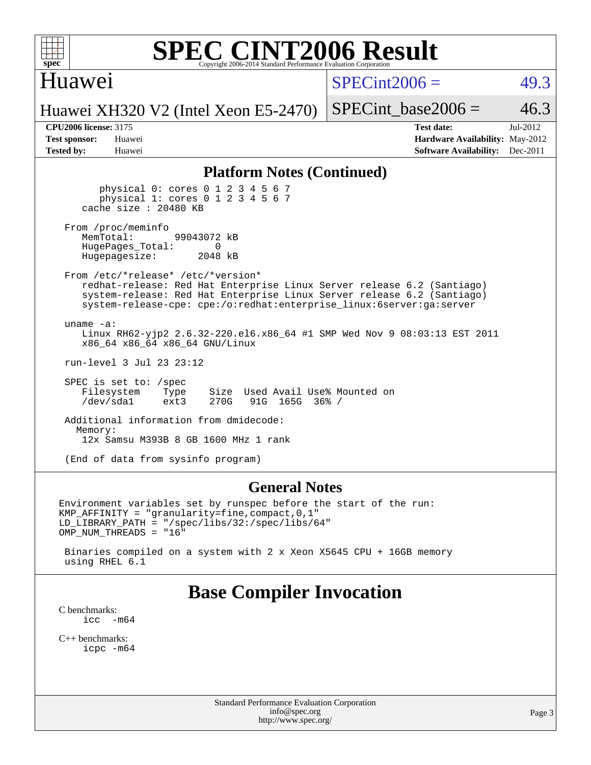

#### Huawei

 $SPECint2006 = 49.3$  $SPECint2006 = 49.3$ 

Huawei XH320 V2 (Intel Xeon E5-2470)

SPECint base2006 =  $46.3$ 

**[CPU2006 license:](http://www.spec.org/auto/cpu2006/Docs/result-fields.html#CPU2006license)** 3175 **[Test date:](http://www.spec.org/auto/cpu2006/Docs/result-fields.html#Testdate)** Jul-2012 **[Test sponsor:](http://www.spec.org/auto/cpu2006/Docs/result-fields.html#Testsponsor)** Huawei **[Hardware Availability:](http://www.spec.org/auto/cpu2006/Docs/result-fields.html#HardwareAvailability)** May-2012 **[Tested by:](http://www.spec.org/auto/cpu2006/Docs/result-fields.html#Testedby)** Huawei **[Software Availability:](http://www.spec.org/auto/cpu2006/Docs/result-fields.html#SoftwareAvailability)** Dec-2011

#### **[Platform Notes \(Continued\)](http://www.spec.org/auto/cpu2006/Docs/result-fields.html#PlatformNotes)**

 physical 0: cores 0 1 2 3 4 5 6 7 physical 1: cores 0 1 2 3 4 5 6 7 cache size : 20480 KB

From /proc/meminfo<br>MemTotal: 99043072 kB HugePages\_Total: 0<br>Hugepagesize: 2048 kB Hugepagesize:

 From /etc/\*release\* /etc/\*version\* redhat-release: Red Hat Enterprise Linux Server release 6.2 (Santiago) system-release: Red Hat Enterprise Linux Server release 6.2 (Santiago) system-release-cpe: cpe:/o:redhat:enterprise\_linux:6server:ga:server

 uname -a: Linux RH62-yjp2 2.6.32-220.el6.x86\_64 #1 SMP Wed Nov 9 08:03:13 EST 2011 x86\_64 x86\_64 x86\_64 GNU/Linux

run-level 3 Jul 23 23:12

 SPEC is set to: /spec Filesystem Type Size Used Avail Use% Mounted on<br>
/dev/sdal ext3 270G 91G 165G 36% / /dev/sda1 ext3 270G 91G 165G 36% /

 Additional information from dmidecode: Memory: 12x Samsu M393B 8 GB 1600 MHz 1 rank

(End of data from sysinfo program)

#### **[General Notes](http://www.spec.org/auto/cpu2006/Docs/result-fields.html#GeneralNotes)**

Environment variables set by runspec before the start of the run: KMP\_AFFINITY = "granularity=fine,compact,0,1" LD\_LIBRARY\_PATH = "/spec/libs/32:/spec/libs/64" OMP\_NUM\_THREADS = "16"

 Binaries compiled on a system with 2 x Xeon X5645 CPU + 16GB memory using RHEL 6.1

### **[Base Compiler Invocation](http://www.spec.org/auto/cpu2006/Docs/result-fields.html#BaseCompilerInvocation)**

[C benchmarks](http://www.spec.org/auto/cpu2006/Docs/result-fields.html#Cbenchmarks):<br> $\frac{icc}{c}$  $-m64$ 

[C++ benchmarks:](http://www.spec.org/auto/cpu2006/Docs/result-fields.html#CXXbenchmarks) [icpc -m64](http://www.spec.org/cpu2006/results/res2012q3/cpu2006-20120725-23874.flags.html#user_CXXbase_intel_icpc_64bit_fc66a5337ce925472a5c54ad6a0de310)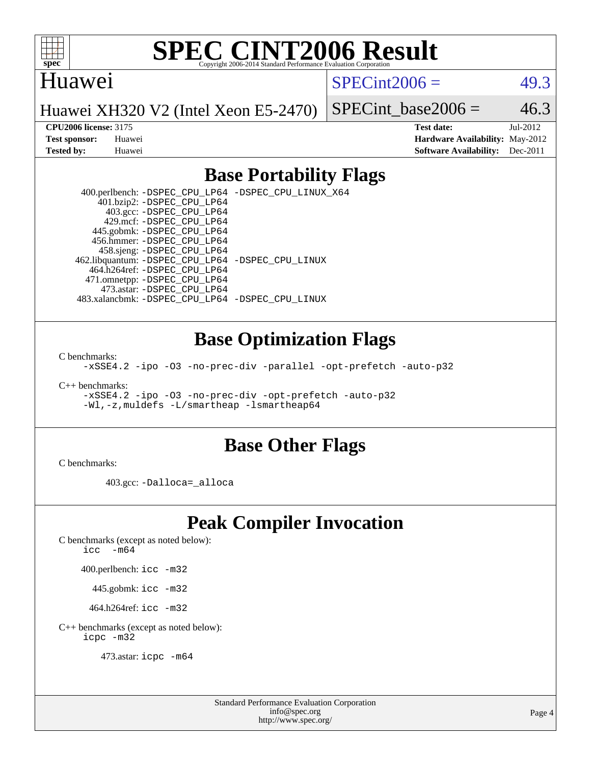

#### Huawei

 $SPECint2006 = 49.3$  $SPECint2006 = 49.3$ 

Huawei XH320 V2 (Intel Xeon E5-2470)

SPECint base2006 =  $46.3$ 

**[CPU2006 license:](http://www.spec.org/auto/cpu2006/Docs/result-fields.html#CPU2006license)** 3175 **[Test date:](http://www.spec.org/auto/cpu2006/Docs/result-fields.html#Testdate)** Jul-2012 **[Test sponsor:](http://www.spec.org/auto/cpu2006/Docs/result-fields.html#Testsponsor)** Huawei **[Hardware Availability:](http://www.spec.org/auto/cpu2006/Docs/result-fields.html#HardwareAvailability)** May-2012 **[Tested by:](http://www.spec.org/auto/cpu2006/Docs/result-fields.html#Testedby)** Huawei **[Software Availability:](http://www.spec.org/auto/cpu2006/Docs/result-fields.html#SoftwareAvailability)** Dec-2011

### **[Base Portability Flags](http://www.spec.org/auto/cpu2006/Docs/result-fields.html#BasePortabilityFlags)**

 400.perlbench: [-DSPEC\\_CPU\\_LP64](http://www.spec.org/cpu2006/results/res2012q3/cpu2006-20120725-23874.flags.html#b400.perlbench_basePORTABILITY_DSPEC_CPU_LP64) [-DSPEC\\_CPU\\_LINUX\\_X64](http://www.spec.org/cpu2006/results/res2012q3/cpu2006-20120725-23874.flags.html#b400.perlbench_baseCPORTABILITY_DSPEC_CPU_LINUX_X64) 401.bzip2: [-DSPEC\\_CPU\\_LP64](http://www.spec.org/cpu2006/results/res2012q3/cpu2006-20120725-23874.flags.html#suite_basePORTABILITY401_bzip2_DSPEC_CPU_LP64) 403.gcc: [-DSPEC\\_CPU\\_LP64](http://www.spec.org/cpu2006/results/res2012q3/cpu2006-20120725-23874.flags.html#suite_basePORTABILITY403_gcc_DSPEC_CPU_LP64) 429.mcf: [-DSPEC\\_CPU\\_LP64](http://www.spec.org/cpu2006/results/res2012q3/cpu2006-20120725-23874.flags.html#suite_basePORTABILITY429_mcf_DSPEC_CPU_LP64) 445.gobmk: [-DSPEC\\_CPU\\_LP64](http://www.spec.org/cpu2006/results/res2012q3/cpu2006-20120725-23874.flags.html#suite_basePORTABILITY445_gobmk_DSPEC_CPU_LP64) 456.hmmer: [-DSPEC\\_CPU\\_LP64](http://www.spec.org/cpu2006/results/res2012q3/cpu2006-20120725-23874.flags.html#suite_basePORTABILITY456_hmmer_DSPEC_CPU_LP64) 458.sjeng: [-DSPEC\\_CPU\\_LP64](http://www.spec.org/cpu2006/results/res2012q3/cpu2006-20120725-23874.flags.html#suite_basePORTABILITY458_sjeng_DSPEC_CPU_LP64) 462.libquantum: [-DSPEC\\_CPU\\_LP64](http://www.spec.org/cpu2006/results/res2012q3/cpu2006-20120725-23874.flags.html#suite_basePORTABILITY462_libquantum_DSPEC_CPU_LP64) [-DSPEC\\_CPU\\_LINUX](http://www.spec.org/cpu2006/results/res2012q3/cpu2006-20120725-23874.flags.html#b462.libquantum_baseCPORTABILITY_DSPEC_CPU_LINUX) 464.h264ref: [-DSPEC\\_CPU\\_LP64](http://www.spec.org/cpu2006/results/res2012q3/cpu2006-20120725-23874.flags.html#suite_basePORTABILITY464_h264ref_DSPEC_CPU_LP64) 471.omnetpp: [-DSPEC\\_CPU\\_LP64](http://www.spec.org/cpu2006/results/res2012q3/cpu2006-20120725-23874.flags.html#suite_basePORTABILITY471_omnetpp_DSPEC_CPU_LP64) 473.astar: [-DSPEC\\_CPU\\_LP64](http://www.spec.org/cpu2006/results/res2012q3/cpu2006-20120725-23874.flags.html#suite_basePORTABILITY473_astar_DSPEC_CPU_LP64) 483.xalancbmk: [-DSPEC\\_CPU\\_LP64](http://www.spec.org/cpu2006/results/res2012q3/cpu2006-20120725-23874.flags.html#suite_basePORTABILITY483_xalancbmk_DSPEC_CPU_LP64) [-DSPEC\\_CPU\\_LINUX](http://www.spec.org/cpu2006/results/res2012q3/cpu2006-20120725-23874.flags.html#b483.xalancbmk_baseCXXPORTABILITY_DSPEC_CPU_LINUX)

#### **[Base Optimization Flags](http://www.spec.org/auto/cpu2006/Docs/result-fields.html#BaseOptimizationFlags)**

[C benchmarks](http://www.spec.org/auto/cpu2006/Docs/result-fields.html#Cbenchmarks):

[-xSSE4.2](http://www.spec.org/cpu2006/results/res2012q3/cpu2006-20120725-23874.flags.html#user_CCbase_f-xSSE42_f91528193cf0b216347adb8b939d4107) [-ipo](http://www.spec.org/cpu2006/results/res2012q3/cpu2006-20120725-23874.flags.html#user_CCbase_f-ipo) [-O3](http://www.spec.org/cpu2006/results/res2012q3/cpu2006-20120725-23874.flags.html#user_CCbase_f-O3) [-no-prec-div](http://www.spec.org/cpu2006/results/res2012q3/cpu2006-20120725-23874.flags.html#user_CCbase_f-no-prec-div) [-parallel](http://www.spec.org/cpu2006/results/res2012q3/cpu2006-20120725-23874.flags.html#user_CCbase_f-parallel) [-opt-prefetch](http://www.spec.org/cpu2006/results/res2012q3/cpu2006-20120725-23874.flags.html#user_CCbase_f-opt-prefetch) [-auto-p32](http://www.spec.org/cpu2006/results/res2012q3/cpu2006-20120725-23874.flags.html#user_CCbase_f-auto-p32)

[C++ benchmarks:](http://www.spec.org/auto/cpu2006/Docs/result-fields.html#CXXbenchmarks)

[-xSSE4.2](http://www.spec.org/cpu2006/results/res2012q3/cpu2006-20120725-23874.flags.html#user_CXXbase_f-xSSE42_f91528193cf0b216347adb8b939d4107) [-ipo](http://www.spec.org/cpu2006/results/res2012q3/cpu2006-20120725-23874.flags.html#user_CXXbase_f-ipo) [-O3](http://www.spec.org/cpu2006/results/res2012q3/cpu2006-20120725-23874.flags.html#user_CXXbase_f-O3) [-no-prec-div](http://www.spec.org/cpu2006/results/res2012q3/cpu2006-20120725-23874.flags.html#user_CXXbase_f-no-prec-div) [-opt-prefetch](http://www.spec.org/cpu2006/results/res2012q3/cpu2006-20120725-23874.flags.html#user_CXXbase_f-opt-prefetch) [-auto-p32](http://www.spec.org/cpu2006/results/res2012q3/cpu2006-20120725-23874.flags.html#user_CXXbase_f-auto-p32) [-Wl,-z,muldefs](http://www.spec.org/cpu2006/results/res2012q3/cpu2006-20120725-23874.flags.html#user_CXXbase_link_force_multiple1_74079c344b956b9658436fd1b6dd3a8a) [-L/smartheap -lsmartheap64](http://www.spec.org/cpu2006/results/res2012q3/cpu2006-20120725-23874.flags.html#user_CXXbase_SmartHeap64_5e654037dadeae1fe403ab4b4466e60b)

#### **[Base Other Flags](http://www.spec.org/auto/cpu2006/Docs/result-fields.html#BaseOtherFlags)**

[C benchmarks](http://www.spec.org/auto/cpu2006/Docs/result-fields.html#Cbenchmarks):

403.gcc: [-Dalloca=\\_alloca](http://www.spec.org/cpu2006/results/res2012q3/cpu2006-20120725-23874.flags.html#b403.gcc_baseEXTRA_CFLAGS_Dalloca_be3056838c12de2578596ca5467af7f3)

### **[Peak Compiler Invocation](http://www.spec.org/auto/cpu2006/Docs/result-fields.html#PeakCompilerInvocation)**

[C benchmarks \(except as noted below\)](http://www.spec.org/auto/cpu2006/Docs/result-fields.html#Cbenchmarksexceptasnotedbelow):

icc  $-m64$ 

400.perlbench: [icc -m32](http://www.spec.org/cpu2006/results/res2012q3/cpu2006-20120725-23874.flags.html#user_peakCCLD400_perlbench_intel_icc_a6a621f8d50482236b970c6ac5f55f93)

445.gobmk: [icc -m32](http://www.spec.org/cpu2006/results/res2012q3/cpu2006-20120725-23874.flags.html#user_peakCCLD445_gobmk_intel_icc_a6a621f8d50482236b970c6ac5f55f93)

464.h264ref: [icc -m32](http://www.spec.org/cpu2006/results/res2012q3/cpu2006-20120725-23874.flags.html#user_peakCCLD464_h264ref_intel_icc_a6a621f8d50482236b970c6ac5f55f93)

[C++ benchmarks \(except as noted below\):](http://www.spec.org/auto/cpu2006/Docs/result-fields.html#CXXbenchmarksexceptasnotedbelow) [icpc -m32](http://www.spec.org/cpu2006/results/res2012q3/cpu2006-20120725-23874.flags.html#user_CXXpeak_intel_icpc_4e5a5ef1a53fd332b3c49e69c3330699)

473.astar: [icpc -m64](http://www.spec.org/cpu2006/results/res2012q3/cpu2006-20120725-23874.flags.html#user_peakCXXLD473_astar_intel_icpc_64bit_fc66a5337ce925472a5c54ad6a0de310)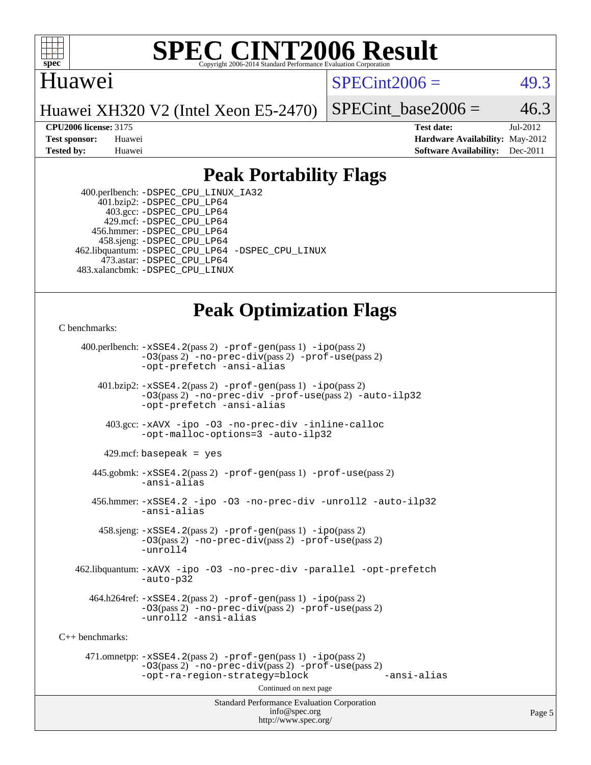

#### Huawei

 $SPECint2006 = 49.3$  $SPECint2006 = 49.3$ 

Huawei XH320 V2 (Intel Xeon E5-2470)

SPECint base2006 =  $46.3$ 

**[CPU2006 license:](http://www.spec.org/auto/cpu2006/Docs/result-fields.html#CPU2006license)** 3175 **[Test date:](http://www.spec.org/auto/cpu2006/Docs/result-fields.html#Testdate)** Jul-2012 **[Test sponsor:](http://www.spec.org/auto/cpu2006/Docs/result-fields.html#Testsponsor)** Huawei **[Hardware Availability:](http://www.spec.org/auto/cpu2006/Docs/result-fields.html#HardwareAvailability)** May-2012 **[Tested by:](http://www.spec.org/auto/cpu2006/Docs/result-fields.html#Testedby)** Huawei **[Software Availability:](http://www.spec.org/auto/cpu2006/Docs/result-fields.html#SoftwareAvailability)** Dec-2011

### **[Peak Portability Flags](http://www.spec.org/auto/cpu2006/Docs/result-fields.html#PeakPortabilityFlags)**

 400.perlbench: [-DSPEC\\_CPU\\_LINUX\\_IA32](http://www.spec.org/cpu2006/results/res2012q3/cpu2006-20120725-23874.flags.html#b400.perlbench_peakCPORTABILITY_DSPEC_CPU_LINUX_IA32) 401.bzip2: [-DSPEC\\_CPU\\_LP64](http://www.spec.org/cpu2006/results/res2012q3/cpu2006-20120725-23874.flags.html#suite_peakPORTABILITY401_bzip2_DSPEC_CPU_LP64) 403.gcc: [-DSPEC\\_CPU\\_LP64](http://www.spec.org/cpu2006/results/res2012q3/cpu2006-20120725-23874.flags.html#suite_peakPORTABILITY403_gcc_DSPEC_CPU_LP64) 429.mcf: [-DSPEC\\_CPU\\_LP64](http://www.spec.org/cpu2006/results/res2012q3/cpu2006-20120725-23874.flags.html#suite_peakPORTABILITY429_mcf_DSPEC_CPU_LP64) 456.hmmer: [-DSPEC\\_CPU\\_LP64](http://www.spec.org/cpu2006/results/res2012q3/cpu2006-20120725-23874.flags.html#suite_peakPORTABILITY456_hmmer_DSPEC_CPU_LP64) 458.sjeng: [-DSPEC\\_CPU\\_LP64](http://www.spec.org/cpu2006/results/res2012q3/cpu2006-20120725-23874.flags.html#suite_peakPORTABILITY458_sjeng_DSPEC_CPU_LP64) 462.libquantum: [-DSPEC\\_CPU\\_LP64](http://www.spec.org/cpu2006/results/res2012q3/cpu2006-20120725-23874.flags.html#suite_peakPORTABILITY462_libquantum_DSPEC_CPU_LP64) [-DSPEC\\_CPU\\_LINUX](http://www.spec.org/cpu2006/results/res2012q3/cpu2006-20120725-23874.flags.html#b462.libquantum_peakCPORTABILITY_DSPEC_CPU_LINUX) 473.astar: [-DSPEC\\_CPU\\_LP64](http://www.spec.org/cpu2006/results/res2012q3/cpu2006-20120725-23874.flags.html#suite_peakPORTABILITY473_astar_DSPEC_CPU_LP64) 483.xalancbmk: [-DSPEC\\_CPU\\_LINUX](http://www.spec.org/cpu2006/results/res2012q3/cpu2006-20120725-23874.flags.html#b483.xalancbmk_peakCXXPORTABILITY_DSPEC_CPU_LINUX)

### **[Peak Optimization Flags](http://www.spec.org/auto/cpu2006/Docs/result-fields.html#PeakOptimizationFlags)**

[C benchmarks](http://www.spec.org/auto/cpu2006/Docs/result-fields.html#Cbenchmarks):

Standard Performance Evaluation Corporation [info@spec.org](mailto:info@spec.org) 400.perlbench: [-xSSE4.2](http://www.spec.org/cpu2006/results/res2012q3/cpu2006-20120725-23874.flags.html#user_peakPASS2_CFLAGSPASS2_LDCFLAGS400_perlbench_f-xSSE42_f91528193cf0b216347adb8b939d4107)(pass 2) [-prof-gen](http://www.spec.org/cpu2006/results/res2012q3/cpu2006-20120725-23874.flags.html#user_peakPASS1_CFLAGSPASS1_LDCFLAGS400_perlbench_prof_gen_e43856698f6ca7b7e442dfd80e94a8fc)(pass 1) [-ipo](http://www.spec.org/cpu2006/results/res2012q3/cpu2006-20120725-23874.flags.html#user_peakPASS2_CFLAGSPASS2_LDCFLAGS400_perlbench_f-ipo)(pass 2) [-O3](http://www.spec.org/cpu2006/results/res2012q3/cpu2006-20120725-23874.flags.html#user_peakPASS2_CFLAGSPASS2_LDCFLAGS400_perlbench_f-O3)(pass 2) [-no-prec-div](http://www.spec.org/cpu2006/results/res2012q3/cpu2006-20120725-23874.flags.html#user_peakPASS2_CFLAGSPASS2_LDCFLAGS400_perlbench_f-no-prec-div)(pass 2) [-prof-use](http://www.spec.org/cpu2006/results/res2012q3/cpu2006-20120725-23874.flags.html#user_peakPASS2_CFLAGSPASS2_LDCFLAGS400_perlbench_prof_use_bccf7792157ff70d64e32fe3e1250b55)(pass 2) [-opt-prefetch](http://www.spec.org/cpu2006/results/res2012q3/cpu2006-20120725-23874.flags.html#user_peakCOPTIMIZE400_perlbench_f-opt-prefetch) [-ansi-alias](http://www.spec.org/cpu2006/results/res2012q3/cpu2006-20120725-23874.flags.html#user_peakCOPTIMIZE400_perlbench_f-ansi-alias) 401.bzip2: [-xSSE4.2](http://www.spec.org/cpu2006/results/res2012q3/cpu2006-20120725-23874.flags.html#user_peakPASS2_CFLAGSPASS2_LDCFLAGS401_bzip2_f-xSSE42_f91528193cf0b216347adb8b939d4107)(pass 2) [-prof-gen](http://www.spec.org/cpu2006/results/res2012q3/cpu2006-20120725-23874.flags.html#user_peakPASS1_CFLAGSPASS1_LDCFLAGS401_bzip2_prof_gen_e43856698f6ca7b7e442dfd80e94a8fc)(pass 1) [-ipo](http://www.spec.org/cpu2006/results/res2012q3/cpu2006-20120725-23874.flags.html#user_peakPASS2_CFLAGSPASS2_LDCFLAGS401_bzip2_f-ipo)(pass 2) [-O3](http://www.spec.org/cpu2006/results/res2012q3/cpu2006-20120725-23874.flags.html#user_peakPASS2_CFLAGSPASS2_LDCFLAGS401_bzip2_f-O3)(pass 2) [-no-prec-div](http://www.spec.org/cpu2006/results/res2012q3/cpu2006-20120725-23874.flags.html#user_peakCOPTIMIZEPASS2_CFLAGSPASS2_LDCFLAGS401_bzip2_f-no-prec-div) [-prof-use](http://www.spec.org/cpu2006/results/res2012q3/cpu2006-20120725-23874.flags.html#user_peakPASS2_CFLAGSPASS2_LDCFLAGS401_bzip2_prof_use_bccf7792157ff70d64e32fe3e1250b55)(pass 2) [-auto-ilp32](http://www.spec.org/cpu2006/results/res2012q3/cpu2006-20120725-23874.flags.html#user_peakCOPTIMIZE401_bzip2_f-auto-ilp32) [-opt-prefetch](http://www.spec.org/cpu2006/results/res2012q3/cpu2006-20120725-23874.flags.html#user_peakCOPTIMIZE401_bzip2_f-opt-prefetch) [-ansi-alias](http://www.spec.org/cpu2006/results/res2012q3/cpu2006-20120725-23874.flags.html#user_peakCOPTIMIZE401_bzip2_f-ansi-alias) 403.gcc: [-xAVX](http://www.spec.org/cpu2006/results/res2012q3/cpu2006-20120725-23874.flags.html#user_peakCOPTIMIZE403_gcc_f-xAVX) [-ipo](http://www.spec.org/cpu2006/results/res2012q3/cpu2006-20120725-23874.flags.html#user_peakCOPTIMIZE403_gcc_f-ipo) [-O3](http://www.spec.org/cpu2006/results/res2012q3/cpu2006-20120725-23874.flags.html#user_peakCOPTIMIZE403_gcc_f-O3) [-no-prec-div](http://www.spec.org/cpu2006/results/res2012q3/cpu2006-20120725-23874.flags.html#user_peakCOPTIMIZE403_gcc_f-no-prec-div) [-inline-calloc](http://www.spec.org/cpu2006/results/res2012q3/cpu2006-20120725-23874.flags.html#user_peakCOPTIMIZE403_gcc_f-inline-calloc) [-opt-malloc-options=3](http://www.spec.org/cpu2006/results/res2012q3/cpu2006-20120725-23874.flags.html#user_peakCOPTIMIZE403_gcc_f-opt-malloc-options_13ab9b803cf986b4ee62f0a5998c2238) [-auto-ilp32](http://www.spec.org/cpu2006/results/res2012q3/cpu2006-20120725-23874.flags.html#user_peakCOPTIMIZE403_gcc_f-auto-ilp32)  $429$ .mcf: basepeak = yes 445.gobmk: [-xSSE4.2](http://www.spec.org/cpu2006/results/res2012q3/cpu2006-20120725-23874.flags.html#user_peakPASS2_CFLAGSPASS2_LDCFLAGS445_gobmk_f-xSSE42_f91528193cf0b216347adb8b939d4107)(pass 2) [-prof-gen](http://www.spec.org/cpu2006/results/res2012q3/cpu2006-20120725-23874.flags.html#user_peakPASS1_CFLAGSPASS1_LDCFLAGS445_gobmk_prof_gen_e43856698f6ca7b7e442dfd80e94a8fc)(pass 1) [-prof-use](http://www.spec.org/cpu2006/results/res2012q3/cpu2006-20120725-23874.flags.html#user_peakPASS2_CFLAGSPASS2_LDCFLAGS445_gobmk_prof_use_bccf7792157ff70d64e32fe3e1250b55)(pass 2) [-ansi-alias](http://www.spec.org/cpu2006/results/res2012q3/cpu2006-20120725-23874.flags.html#user_peakCOPTIMIZE445_gobmk_f-ansi-alias) 456.hmmer: [-xSSE4.2](http://www.spec.org/cpu2006/results/res2012q3/cpu2006-20120725-23874.flags.html#user_peakCOPTIMIZE456_hmmer_f-xSSE42_f91528193cf0b216347adb8b939d4107) [-ipo](http://www.spec.org/cpu2006/results/res2012q3/cpu2006-20120725-23874.flags.html#user_peakCOPTIMIZE456_hmmer_f-ipo) [-O3](http://www.spec.org/cpu2006/results/res2012q3/cpu2006-20120725-23874.flags.html#user_peakCOPTIMIZE456_hmmer_f-O3) [-no-prec-div](http://www.spec.org/cpu2006/results/res2012q3/cpu2006-20120725-23874.flags.html#user_peakCOPTIMIZE456_hmmer_f-no-prec-div) [-unroll2](http://www.spec.org/cpu2006/results/res2012q3/cpu2006-20120725-23874.flags.html#user_peakCOPTIMIZE456_hmmer_f-unroll_784dae83bebfb236979b41d2422d7ec2) [-auto-ilp32](http://www.spec.org/cpu2006/results/res2012q3/cpu2006-20120725-23874.flags.html#user_peakCOPTIMIZE456_hmmer_f-auto-ilp32) [-ansi-alias](http://www.spec.org/cpu2006/results/res2012q3/cpu2006-20120725-23874.flags.html#user_peakCOPTIMIZE456_hmmer_f-ansi-alias) 458.sjeng: [-xSSE4.2](http://www.spec.org/cpu2006/results/res2012q3/cpu2006-20120725-23874.flags.html#user_peakPASS2_CFLAGSPASS2_LDCFLAGS458_sjeng_f-xSSE42_f91528193cf0b216347adb8b939d4107)(pass 2) [-prof-gen](http://www.spec.org/cpu2006/results/res2012q3/cpu2006-20120725-23874.flags.html#user_peakPASS1_CFLAGSPASS1_LDCFLAGS458_sjeng_prof_gen_e43856698f6ca7b7e442dfd80e94a8fc)(pass 1) [-ipo](http://www.spec.org/cpu2006/results/res2012q3/cpu2006-20120725-23874.flags.html#user_peakPASS2_CFLAGSPASS2_LDCFLAGS458_sjeng_f-ipo)(pass 2) [-O3](http://www.spec.org/cpu2006/results/res2012q3/cpu2006-20120725-23874.flags.html#user_peakPASS2_CFLAGSPASS2_LDCFLAGS458_sjeng_f-O3)(pass 2) [-no-prec-div](http://www.spec.org/cpu2006/results/res2012q3/cpu2006-20120725-23874.flags.html#user_peakPASS2_CFLAGSPASS2_LDCFLAGS458_sjeng_f-no-prec-div)(pass 2) [-prof-use](http://www.spec.org/cpu2006/results/res2012q3/cpu2006-20120725-23874.flags.html#user_peakPASS2_CFLAGSPASS2_LDCFLAGS458_sjeng_prof_use_bccf7792157ff70d64e32fe3e1250b55)(pass 2) [-unroll4](http://www.spec.org/cpu2006/results/res2012q3/cpu2006-20120725-23874.flags.html#user_peakCOPTIMIZE458_sjeng_f-unroll_4e5e4ed65b7fd20bdcd365bec371b81f) 462.libquantum: [-xAVX](http://www.spec.org/cpu2006/results/res2012q3/cpu2006-20120725-23874.flags.html#user_peakCOPTIMIZE462_libquantum_f-xAVX) [-ipo](http://www.spec.org/cpu2006/results/res2012q3/cpu2006-20120725-23874.flags.html#user_peakCOPTIMIZE462_libquantum_f-ipo) [-O3](http://www.spec.org/cpu2006/results/res2012q3/cpu2006-20120725-23874.flags.html#user_peakCOPTIMIZE462_libquantum_f-O3) [-no-prec-div](http://www.spec.org/cpu2006/results/res2012q3/cpu2006-20120725-23874.flags.html#user_peakCOPTIMIZE462_libquantum_f-no-prec-div) [-parallel](http://www.spec.org/cpu2006/results/res2012q3/cpu2006-20120725-23874.flags.html#user_peakCOPTIMIZE462_libquantum_f-parallel) [-opt-prefetch](http://www.spec.org/cpu2006/results/res2012q3/cpu2006-20120725-23874.flags.html#user_peakCOPTIMIZE462_libquantum_f-opt-prefetch) [-auto-p32](http://www.spec.org/cpu2006/results/res2012q3/cpu2006-20120725-23874.flags.html#user_peakCOPTIMIZE462_libquantum_f-auto-p32)  $464.h264$ ref:  $-xSSE4$ .  $2(pass 2)$  [-prof-gen](http://www.spec.org/cpu2006/results/res2012q3/cpu2006-20120725-23874.flags.html#user_peakPASS1_CFLAGSPASS1_LDCFLAGS464_h264ref_prof_gen_e43856698f6ca7b7e442dfd80e94a8fc)(pass 1) [-ipo](http://www.spec.org/cpu2006/results/res2012q3/cpu2006-20120725-23874.flags.html#user_peakPASS2_CFLAGSPASS2_LDCFLAGS464_h264ref_f-ipo)(pass 2) [-O3](http://www.spec.org/cpu2006/results/res2012q3/cpu2006-20120725-23874.flags.html#user_peakPASS2_CFLAGSPASS2_LDCFLAGS464_h264ref_f-O3)(pass 2) [-no-prec-div](http://www.spec.org/cpu2006/results/res2012q3/cpu2006-20120725-23874.flags.html#user_peakPASS2_CFLAGSPASS2_LDCFLAGS464_h264ref_f-no-prec-div)(pass 2) [-prof-use](http://www.spec.org/cpu2006/results/res2012q3/cpu2006-20120725-23874.flags.html#user_peakPASS2_CFLAGSPASS2_LDCFLAGS464_h264ref_prof_use_bccf7792157ff70d64e32fe3e1250b55)(pass 2) [-unroll2](http://www.spec.org/cpu2006/results/res2012q3/cpu2006-20120725-23874.flags.html#user_peakCOPTIMIZE464_h264ref_f-unroll_784dae83bebfb236979b41d2422d7ec2) [-ansi-alias](http://www.spec.org/cpu2006/results/res2012q3/cpu2006-20120725-23874.flags.html#user_peakCOPTIMIZE464_h264ref_f-ansi-alias) [C++ benchmarks:](http://www.spec.org/auto/cpu2006/Docs/result-fields.html#CXXbenchmarks) 471.omnetpp: [-xSSE4.2](http://www.spec.org/cpu2006/results/res2012q3/cpu2006-20120725-23874.flags.html#user_peakPASS2_CXXFLAGSPASS2_LDCXXFLAGS471_omnetpp_f-xSSE42_f91528193cf0b216347adb8b939d4107)(pass 2) [-prof-gen](http://www.spec.org/cpu2006/results/res2012q3/cpu2006-20120725-23874.flags.html#user_peakPASS1_CXXFLAGSPASS1_LDCXXFLAGS471_omnetpp_prof_gen_e43856698f6ca7b7e442dfd80e94a8fc)(pass 1) [-ipo](http://www.spec.org/cpu2006/results/res2012q3/cpu2006-20120725-23874.flags.html#user_peakPASS2_CXXFLAGSPASS2_LDCXXFLAGS471_omnetpp_f-ipo)(pass 2) [-O3](http://www.spec.org/cpu2006/results/res2012q3/cpu2006-20120725-23874.flags.html#user_peakPASS2_CXXFLAGSPASS2_LDCXXFLAGS471_omnetpp_f-O3)(pass 2) [-no-prec-div](http://www.spec.org/cpu2006/results/res2012q3/cpu2006-20120725-23874.flags.html#user_peakPASS2_CXXFLAGSPASS2_LDCXXFLAGS471_omnetpp_f-no-prec-div)(pass 2) [-prof-use](http://www.spec.org/cpu2006/results/res2012q3/cpu2006-20120725-23874.flags.html#user_peakPASS2_CXXFLAGSPASS2_LDCXXFLAGS471_omnetpp_prof_use_bccf7792157ff70d64e32fe3e1250b55)(pass 2) [-opt-ra-region-strategy=block](http://www.spec.org/cpu2006/results/res2012q3/cpu2006-20120725-23874.flags.html#user_peakCXXOPTIMIZE471_omnetpp_f-opt-ra-region-strategy_5382940c29ea30302d682fc74bfe0147) [-ansi-alias](http://www.spec.org/cpu2006/results/res2012q3/cpu2006-20120725-23874.flags.html#user_peakCXXOPTIMIZE471_omnetpp_f-ansi-alias) Continued on next page

<http://www.spec.org/>